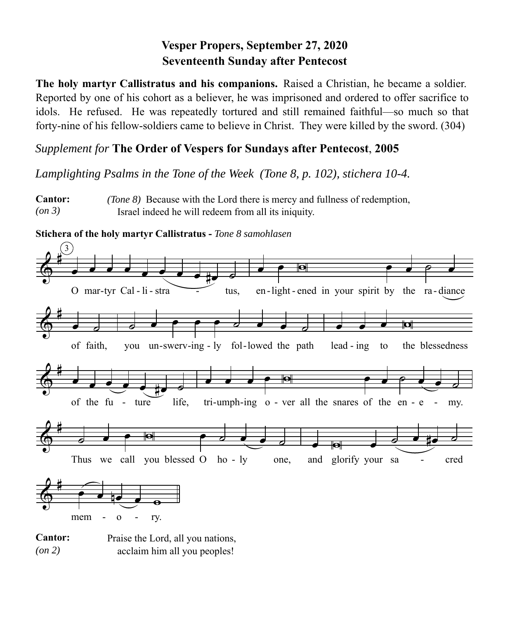## **Vesper Propers, September 27, 2020 Seventeenth Sunday after Pentecost**

**The holy martyr Callistratus and his companions.** Raised a Christian, he became a soldier. Reported by one of his cohort as a believer, he was imprisoned and ordered to offer sacrifice to idols. He refused. He was repeatedly tortured and still remained faithful—so much so that forty-nine of his fellow-soldiers came to believe in Christ. They were killed by the sword. (304)

## *Supplement for* **The Order of Vespers for Sundays after Pentecost**, **2005**

*Lamplighting Psalms in the Tone of the Week (Tone 8, p. 102), stichera 10-4.* 

**Cantor:** *(on 3) (Tone 8)* Because with the Lord there is mercy and fullness of redemption, Israel indeed he will redeem from all its iniquity.

**Stichera of the holy martyr Callistratus -** *Tone 8 samohlasen*



**Cantor:** *(on 2)* Praise the Lord, all you nations, acclaim him all you peoples!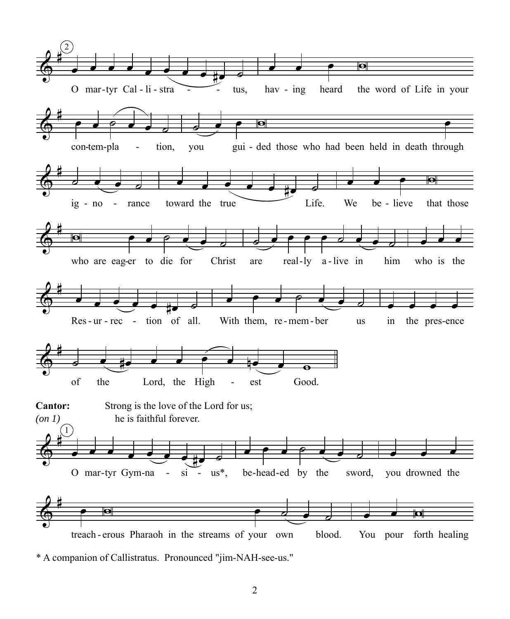

 $\sqrt{2}$